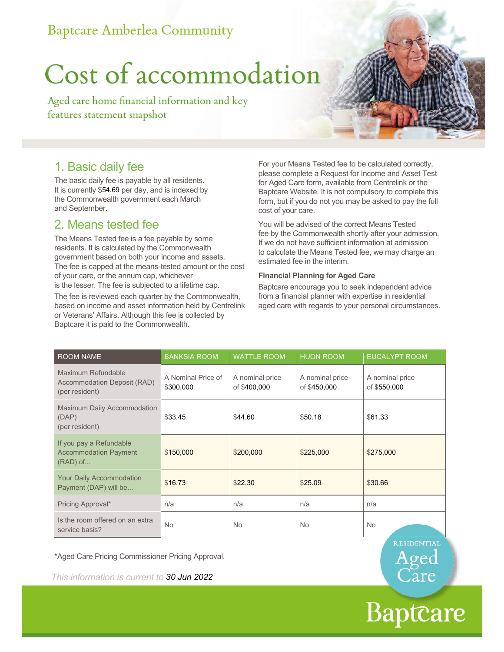### **Baptcare Amberlea Community**

# Cost of accommodation

Aged care home financial information and key features statement snapshot

#### 1. Basic daily fee

The basic daily fee is payable by all residents. It is currently \$54.69 per day, and is indexed by the Commonwealth government each March and September.

#### 2. Means tested fee

The Means Tested fee is a fee payable by some residents. It is calculated by the Commonwealth government based on both your income and assets. The fee is capped at the means-tested amount or the cost of your care, or the annum cap, whichever is the lesser. The fee is subjected to a lifetime cap.

The fee is reviewed each quarter by the Commonwealth, based on income and asset information held by Centrelink or Veterans' Affairs. Although this fee is collected by Baptcare it is paid to the Commonwealth.

For your Means Tested fee to be calculated correctly, please complete a Request for Income and Asset Test for Aged Care form, available from Centrelink or the Baptcare Website. It is not compulsory to complete this form, but if you do not you may be asked to pay the full cost of your care.

You will be advised of the correct Means Tested fee by the Commonwealth shortly after your admission. If we do not have sufficient information at admission to calculate the Means Tested fee, we may charge an estimated fee in the interim.

#### **Financial Planning for Aged Care**

Baptcare encourage you to seek independent advice from a financial planner with expertise in residential aged care with regards to your personal circumstances.

| <b>ROOM NAME</b>                                                      | <b>BANKSIA ROOM</b>             | <b>WATTLE ROOM</b>              | <b>HUON ROOM</b>                | EUCALYPT ROOM                   |
|-----------------------------------------------------------------------|---------------------------------|---------------------------------|---------------------------------|---------------------------------|
| Maximum Refundable<br>Accommodation Deposit (RAD)<br>(per resident)   | A Nominal Price of<br>\$300,000 | A nominal price<br>of \$400,000 | A nominal price<br>of \$450,000 | A nominal price<br>of \$550,000 |
| Maximum Daily Accommodation<br>(DAP)<br>(per resident)                | \$33.45                         | \$44.60                         | \$50.18                         | \$61.33                         |
| If you pay a Refundable<br><b>Accommodation Payment</b><br>$(RAD)$ of | \$150,000                       | \$200,000                       | \$225,000                       | \$275,000                       |
| <b>Your Daily Accommodation</b><br>Payment (DAP) will be              | \$16.73                         | \$22.30                         | \$25.09                         | \$30.66                         |
| Pricing Approval*                                                     | n/a                             | n/a                             | n/a                             | n/a                             |
| Is the room offered on an extra<br>service basis?                     | <b>No</b>                       | <b>No</b>                       | <b>No</b>                       | <b>No</b>                       |

\*Aged Care Pricing Commissioner Pricing Approval.

*This information is current to 30 Jun 2022*



RESIDENTIAL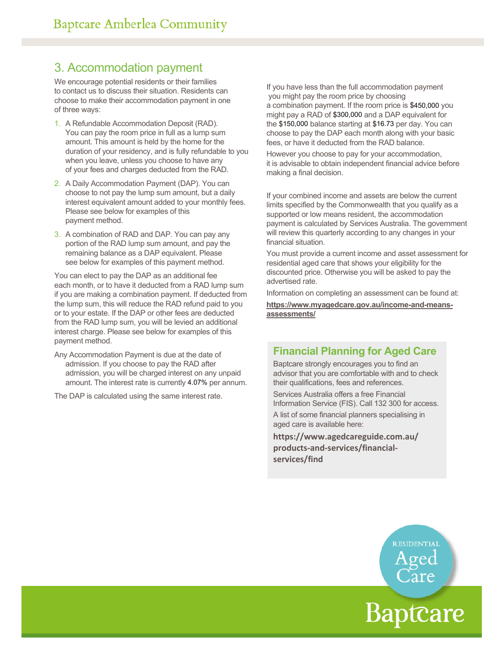#### 3. Accommodation payment

We encourage potential residents or their families to contact us to discuss their situation. Residents can choose to make their accommodation payment in one of three ways:

- 1. A Refundable Accommodation Deposit (RAD). You can pay the room price in full as a lump sum amount. This amount is held by the home for the duration of your residency, and is fully refundable to you when you leave, unless you choose to have any of your fees and charges deducted from the RAD.
- 2. A Daily Accommodation Payment (DAP). You can choose to not pay the lump sum amount, but a daily interest equivalent amount added to your monthly fees. Please see below for examples of this payment method.
- 3. A combination of RAD and DAP. You can pay any portion of the RAD lump sum amount, and pay the remaining balance as a DAP equivalent. Please see below for examples of this payment method.

You can elect to pay the DAP as an additional fee each month, or to have it deducted from a RAD lump sum if you are making a combination payment. If deducted from the lump sum, this will reduce the RAD refund paid to you or to your estate. If the DAP or other fees are deducted from the RAD lump sum, you will be levied an additional interest charge. Please see below for examples of this payment method.

Any Accommodation Payment is due at the date of admission. If you choose to pay the RAD after admission, you will be charged interest on any unpaid amount. The interest rate is currently 4.07% per annum.

The DAP is calculated using the same interest rate.

If you have less than the full accommodation payment you might pay the room price by choosing a combination payment. If the room price is **\$**450,000 you might pay a RAD of **\$**300,000 and a DAP equivalent for the **\$**150,000 balance starting at **\$**16.73 per day. You can choose to pay the DAP each month along with your basic fees, or have it deducted from the RAD balance.

However you choose to pay for your accommodation, it is advisable to obtain independent financial advice before making a final decision.

If your combined income and assets are below the current limits specified by the Commonwealth that you qualify as a supported or low means resident, the accommodation payment is calculated by Services Australia. The government will review this quarterly according to any changes in your financial situation.

You must provide a current income and asset assessment for residential aged care that shows your eligibility for the discounted price. Otherwise you will be asked to pay the advertised rate.

Information on completing an assessment can be found at:

**https://www.myagedcare.gov.au/income-and-meansassessments/**

#### **Financial Planning for Aged Care**

Baptcare strongly encourages you to find an advisor that you are comfortable with and to check their qualifications, fees and references.

Services Australia offers a free Financial Information Service (FIS). Call 132 300 for access. A list of some financial planners specialising in aged care is available here:

**https://www.agedcareguide.com.au/ products‐and‐services/financial‐ services/find**

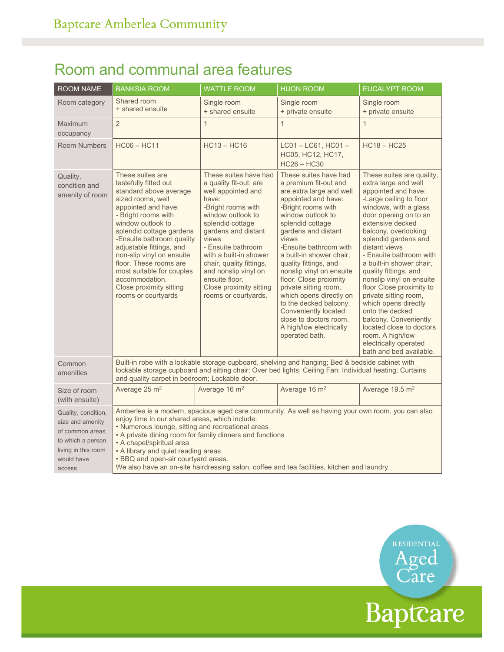## Room and communal area features

| <b>ROOM NAME</b>                                                                                                               | <b>BANKSIA ROOM</b>                                                                                                                                                                                                                                                                                                                                                                                                                                                            | <b>WATTLE ROOM</b>                                                                                                                                                                                                                                                                                                                                     | <b>HUON ROOM</b>                                                                                                                                                                                                                                                                                                                                                                                                                                                                                                   | EUCALYPT ROOM                                                                                                                                                                                                                                                                                                                                                                                                                                                                                                                                                                       |  |
|--------------------------------------------------------------------------------------------------------------------------------|--------------------------------------------------------------------------------------------------------------------------------------------------------------------------------------------------------------------------------------------------------------------------------------------------------------------------------------------------------------------------------------------------------------------------------------------------------------------------------|--------------------------------------------------------------------------------------------------------------------------------------------------------------------------------------------------------------------------------------------------------------------------------------------------------------------------------------------------------|--------------------------------------------------------------------------------------------------------------------------------------------------------------------------------------------------------------------------------------------------------------------------------------------------------------------------------------------------------------------------------------------------------------------------------------------------------------------------------------------------------------------|-------------------------------------------------------------------------------------------------------------------------------------------------------------------------------------------------------------------------------------------------------------------------------------------------------------------------------------------------------------------------------------------------------------------------------------------------------------------------------------------------------------------------------------------------------------------------------------|--|
| Room category                                                                                                                  | Shared room<br>+ shared ensuite                                                                                                                                                                                                                                                                                                                                                                                                                                                | Single room<br>+ shared ensuite                                                                                                                                                                                                                                                                                                                        | Single room<br>+ private ensuite                                                                                                                                                                                                                                                                                                                                                                                                                                                                                   | Single room<br>+ private ensuite                                                                                                                                                                                                                                                                                                                                                                                                                                                                                                                                                    |  |
| <b>Maximum</b><br>occupancy                                                                                                    | $\overline{2}$                                                                                                                                                                                                                                                                                                                                                                                                                                                                 | $\mathbf{1}$                                                                                                                                                                                                                                                                                                                                           | $\mathbf{1}$                                                                                                                                                                                                                                                                                                                                                                                                                                                                                                       | $\mathbf{1}$                                                                                                                                                                                                                                                                                                                                                                                                                                                                                                                                                                        |  |
| <b>Room Numbers</b>                                                                                                            | $HC06 - HC11$                                                                                                                                                                                                                                                                                                                                                                                                                                                                  | $HC13 - HC16$                                                                                                                                                                                                                                                                                                                                          | $LC01 - LC61, HCO1 -$<br>HC05, HC12, HC17,<br>$HC26 - HC30$                                                                                                                                                                                                                                                                                                                                                                                                                                                        | $HC18 - HC25$                                                                                                                                                                                                                                                                                                                                                                                                                                                                                                                                                                       |  |
| Quality,<br>condition and<br>amenity of room                                                                                   | These suites are<br>tastefully fitted out<br>standard above average<br>sized rooms, well<br>appointed and have:<br>- Bright rooms with<br>window outlook to<br>splendid cottage gardens<br>-Ensuite bathroom quality<br>adjustable fittings, and<br>non-slip vinyl on ensuite<br>floor. These rooms are<br>most suitable for couples<br>accommodation.<br>Close proximity sitting<br>rooms or courtyards                                                                       | These suites have had<br>a quality fit-out, are<br>well appointed and<br>have:<br>-Bright rooms with<br>window outlook to<br>splendid cottage<br>gardens and distant<br>views<br>- Ensuite bathroom<br>with a built-in shower<br>chair, quality fittings,<br>and nonslip vinyl on<br>ensuite floor.<br>Close proximity sitting<br>rooms or courtyards. | These suites have had<br>a premium fit-out and<br>are extra large and well<br>appointed and have:<br>-Bright rooms with<br>window outlook to<br>splendid cottage<br>gardens and distant<br>views<br>-Ensuite bathroom with<br>a built-in shower chair,<br>quality fittings, and<br>nonslip vinyl on ensuite<br>floor. Close proximity<br>private sitting room,<br>which opens directly on<br>to the decked balcony.<br>Conveniently located<br>close to doctors room.<br>A high/low electrically<br>operated bath. | These suites are quality,<br>extra large and well<br>appointed and have:<br>-Large ceiling to floor<br>windows, with a glass<br>door opening on to an<br>extensive decked<br>balcony, overlooking<br>splendid gardens and<br>distant views<br>- Ensuite bathroom with<br>a built-in shower chair.<br>quality fittings, and<br>nonslip vinyl on ensuite<br>floor Close proximity to<br>private sitting room,<br>which opens directly<br>onto the decked<br>balcony. Conveniently<br>located close to doctors<br>room. A high/low<br>electrically operated<br>bath and bed available. |  |
| Common<br>amenities                                                                                                            | Built-in robe with a lockable storage cupboard, shelving and hanging; Bed & bedside cabinet with<br>lockable storage cupboard and sitting chair; Over bed lights; Ceiling Fan; Individual heating; Curtains<br>and quality carpet in bedroom; Lockable door.                                                                                                                                                                                                                   |                                                                                                                                                                                                                                                                                                                                                        |                                                                                                                                                                                                                                                                                                                                                                                                                                                                                                                    |                                                                                                                                                                                                                                                                                                                                                                                                                                                                                                                                                                                     |  |
| Size of room<br>(with ensuite)                                                                                                 | Average 25 m <sup>2</sup>                                                                                                                                                                                                                                                                                                                                                                                                                                                      | Average 16 m <sup>2</sup>                                                                                                                                                                                                                                                                                                                              | Average 16 m <sup>2</sup>                                                                                                                                                                                                                                                                                                                                                                                                                                                                                          | Average 19.5 m <sup>2</sup>                                                                                                                                                                                                                                                                                                                                                                                                                                                                                                                                                         |  |
| Quality, condition,<br>size and amenity<br>of common areas<br>to which a person<br>living in this room<br>would have<br>access | Amberlea is a modern, spacious aged care community. As well as having your own room, you can also<br>enjoy time in our shared areas, which include:<br>• Numerous lounge, sitting and recreational areas<br>• A private dining room for family dinners and functions<br>• A chapel/spiritual area<br>• A library and quiet reading areas<br>• BBQ and open-air courtyard areas.<br>We also have an on-site hairdressing salon, coffee and tea facilities, kitchen and laundry. |                                                                                                                                                                                                                                                                                                                                                        |                                                                                                                                                                                                                                                                                                                                                                                                                                                                                                                    |                                                                                                                                                                                                                                                                                                                                                                                                                                                                                                                                                                                     |  |

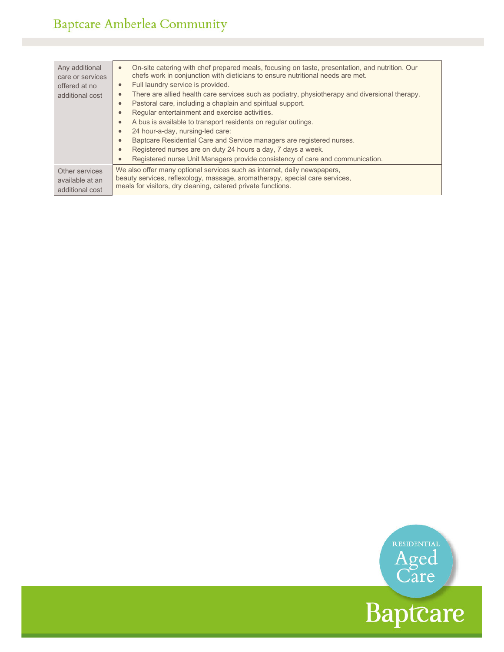| Any additional<br>care or services<br>offered at no<br>additional cost | On-site catering with chef prepared meals, focusing on taste, presentation, and nutrition. Our<br>chefs work in conjunction with dieticians to ensure nutritional needs are met.<br>Full laundry service is provided.<br>There are allied health care services such as podiatry, physiotherapy and diversional therapy.<br>$\bullet$<br>Pastoral care, including a chaplain and spiritual support.<br>$\bullet$<br>Regular entertainment and exercise activities.<br>A bus is available to transport residents on regular outings.<br>$\bullet$<br>24 hour-a-day, nursing-led care:<br>Baptcare Residential Care and Service managers are registered nurses.<br>$\bullet$<br>Registered nurses are on duty 24 hours a day, 7 days a week.<br>$\bullet$<br>Registered nurse Unit Managers provide consistency of care and communication. |  |
|------------------------------------------------------------------------|-----------------------------------------------------------------------------------------------------------------------------------------------------------------------------------------------------------------------------------------------------------------------------------------------------------------------------------------------------------------------------------------------------------------------------------------------------------------------------------------------------------------------------------------------------------------------------------------------------------------------------------------------------------------------------------------------------------------------------------------------------------------------------------------------------------------------------------------|--|
| Other services                                                         | We also offer many optional services such as internet, daily newspapers,                                                                                                                                                                                                                                                                                                                                                                                                                                                                                                                                                                                                                                                                                                                                                                |  |
| available at an                                                        | beauty services, reflexology, massage, aromatherapy, special care services,                                                                                                                                                                                                                                                                                                                                                                                                                                                                                                                                                                                                                                                                                                                                                             |  |
| additional cost                                                        | meals for visitors, dry cleaning, catered private functions.                                                                                                                                                                                                                                                                                                                                                                                                                                                                                                                                                                                                                                                                                                                                                                            |  |